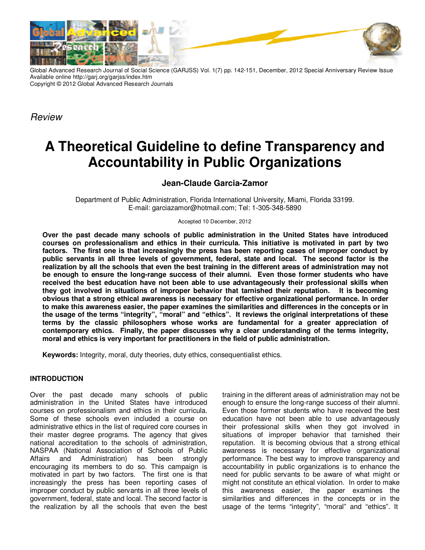

Global Advanced Research Journal of Social Science (GARJSS) Vol. 1(7) pp. 142-151, December, 2012 Special Anniversary Review Issue Available online http://garj.org/garjss/index.htm Copyright © 2012 Global Advanced Research Journals

*Review* 

# **A Theoretical Guideline to define Transparency and Accountability in Public Organizations**

## **Jean-Claude Garcia-Zamor**

Department of Public Administration, Florida International University, Miami, Florida 33199. E-mail: garciazamor@hotmail.com; Tel: 1-305-348-5890

Accepted 10 December, 2012

**Over the past decade many schools of public administration in the United States have introduced courses on professionalism and ethics in their curricula. This initiative is motivated in part by two factors. The first one is that increasingly the press has been reporting cases of improper conduct by public servants in all three levels of government, federal, state and local. The second factor is the realization by all the schools that even the best training in the different areas of administration may not be enough to ensure the long-range success of their alumni. Even those former students who have received the best education have not been able to use advantageously their professional skills when they got involved in situations of improper behavior that tarnished their reputation. It is becoming obvious that a strong ethical awareness is necessary for effective organizational performance. In order to make this awareness easier, the paper examines the similarities and differences in the concepts or in the usage of the terms "integrity", "moral" and "ethics". It reviews the original interpretations of these terms by the classic philosophers whose works are fundamental for a greater appreciation of contemporary ethics. Finally, the paper discusses why a clear understanding of the terms integrity, moral and ethics is very important for practitioners in the field of public administration.** 

**Keywords:** Integrity, moral, duty theories, duty ethics, consequentialist ethics.

## **INTRODUCTION**

Over the past decade many schools of public administration in the United States have introduced courses on professionalism and ethics in their curricula. Some of these schools even included a course on administrative ethics in the list of required core courses in their master degree programs. The agency that gives national accreditation to the schools of administration, NASPAA (National Association of Schools of Public Administration) has been strongly encouraging its members to do so. This campaign is motivated in part by two factors. The first one is that increasingly the press has been reporting cases of improper conduct by public servants in all three levels of government, federal, state and local. The second factor is the realization by all the schools that even the best

training in the different areas of administration may not be enough to ensure the long-range success of their alumni. Even those former students who have received the best education have not been able to use advantageously their professional skills when they got involved in situations of improper behavior that tarnished their reputation. It is becoming obvious that a strong ethical awareness is necessary for effective organizational performance. The best way to improve transparency and accountability in public organizations is to enhance the need for public servants to be aware of what might or might not constitute an ethical violation. In order to make this awareness easier, the paper examines the similarities and differences in the concepts or in the usage of the terms "integrity", "moral" and "ethics". It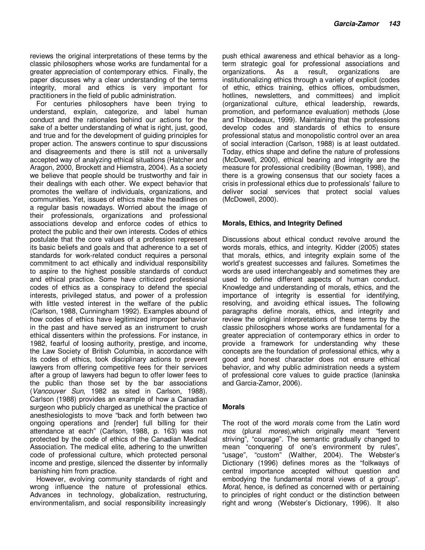reviews the original interpretations of these terms by the classic philosophers whose works are fundamental for a greater appreciation of contemporary ethics. Finally, the paper discusses why a clear understanding of the terms integrity, moral and ethics is very important for practitioners in the field of public administration.

For centuries philosophers have been trying to understand, explain, categorize, and label human conduct and the rationales behind our actions for the sake of a better understanding of what is right, just, good, and true and for the development of guiding principles for proper action. The answers continue to spur discussions and disagreements and there is still not a universally accepted way of analyzing ethical situations (Hatcher and Aragon, 2000, Brockett and Hiemstra, 2004). As a society we believe that people should be trustworthy and fair in their dealings with each other. We expect behavior that promotes the welfare of individuals, organizations, and communities. Yet, issues of ethics make the headlines on a regular basis nowadays. Worried about the image of their professionals, organizations and professional associations develop and enforce codes of ethics to protect the public and their own interests. Codes of ethics postulate that the core values of a profession represent its basic beliefs and goals and that adherence to a set of standards for work-related conduct requires a personal commitment to act ethically and individual responsibility to aspire to the highest possible standards of conduct and ethical practice. Some have criticized professional codes of ethics as a conspiracy to defend the special interests, privileged status, and power of a profession with little vested interest in the welfare of the public (Carlson, 1988, Cunningham 1992). Examples abound of how codes of ethics have legitimized improper behavior in the past and have served as an instrument to crush ethical dissenters within the professions. For instance, in 1982, fearful of loosing authority, prestige, and income, the Law Society of British Columbia, in accordance with its codes of ethics, took disciplinary actions to prevent lawyers from offering competitive fees for their services after a group of lawyers had begun to offer lower fees to the public than those set by the bar associations (*Vancouver Sun*, 1982 as sited in Carlson, 1988). Carlson (1988) provides an example of how a Canadian surgeon who publicly charged as unethical the practice of anesthesiologists to move "back and forth between two ongoing operations and [render] full billing for their attendance at each" (Carlson, 1988, p. 163) was not protected by the code of ethics of the Canadian Medical Association. The medical elite, adhering to the unwritten code of professional culture, which protected personal income and prestige, silenced the dissenter by informally banishing him from practice.

However, evolving community standards of right and wrong influence the nature of professional ethics. Advances in technology, globalization, restructuring, environmentalism, and social responsibility increasingly

push ethical awareness and ethical behavior as a longterm strategic goal for professional associations and organizations. As a result, organizations are institutionalizing ethics through a variety of explicit (codes of ethic, ethics training, ethics offices, ombudsmen, hotlines, newsletters, and committees) and implicit (organizational culture, ethical leadership, rewards, promotion, and performance evaluation) methods (Jose and Thibodeaux, 1999). Maintaining that the professions develop codes and standards of ethics to ensure professional status and monopolistic control over an area of social interaction (Carlson, 1988) is at least outdated. Today, ethics shape and define the nature of professions (McDowell, 2000), ethical bearing and integrity are the measure for professional credibility (Bowman, 1998), and there is a growing consensus that our society faces a crisis in professional ethics due to professionals' failure to deliver social services that protect social values (McDowell, 2000).

### **Morals, Ethics, and Integrity Defined**

Discussions about ethical conduct revolve around the words morals, ethics, and integrity. Kidder (2005) states that morals, ethics, and integrity explain some of the world's greatest successes and failures. Sometimes the words are used interchangeably and sometimes they are used to define different aspects of human conduct. Knowledge and understanding of morals, ethics, and the importance of integrity is essential for identifying, resolving, and avoiding ethical issues**.** The following paragraphs define morals, ethics, and integrity and review the original interpretations of these terms by the classic philosophers whose works are fundamental for a greater appreciation of contemporary ethics in order to provide a framework for understanding why these concepts are the foundation of professional ethics, why a good and honest character does not ensure ethical behavior, and why public administration needs a system of professional core values to guide practice (Ianinska and Garcia-Zamor, 2006).

#### **Morals**

The root of the word *morals* come from the Latin word *mos* (plural *mores*),which originally meant "fervent striving", "courage". The semantic gradually changed to mean "conquering of one's environment by rules", "usage", "custom" (Walther, 2004). The Webster's Dictionary (1996) defines mores as the "folkways of central importance accepted without question and embodying the fundamental moral views of a group". *Moral, hence, is defined as concerned with or pertaining* to principles of right conduct or the distinction between right and wrong (Webster's Dictionary, 1996). It also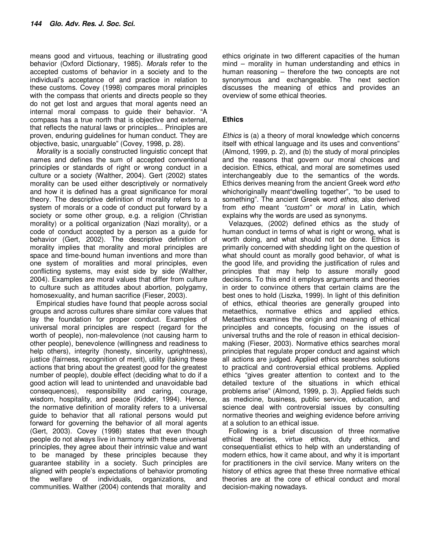means good and virtuous, teaching or illustrating good behavior (Oxford Dictionary, 1985). *Morals* refer to the accepted customs of behavior in a society and to the individual's acceptance of and practice in relation to these customs. Covey (1998) compares moral principles with the compass that orients and directs people so they do not get lost and argues that moral agents need an internal moral compass to guide their behavior. "A compass has a true north that is objective and external, that reflects the natural laws or principles... Principles are proven, enduring guidelines for human conduct. They are objective, basic, unarguable" (Covey, 1998, p. 28).

*Morality* is a socially constructed linguistic concept that names and defines the sum of accepted conventional principles or standards of right or wrong conduct in a culture or a society (Walther, 2004). Gert (2002) states morality can be used either descriptively or normatively and how it is defined has a great significance for moral theory. The descriptive definition of morality refers to a system of morals or a code of conduct put forward by a society or some other group, e.g. a religion (Christian morality) or a political organization (Nazi morality), or a code of conduct accepted by a person as a guide for behavior (Gert, 2002). The descriptive definition of morality implies that morality and moral principles are space and time-bound human inventions and more than one system of moralities and moral principles, even conflicting systems, may exist side by side (Walther, 2004). Examples are moral values that differ from culture to culture such as attitudes about abortion, polygamy, homosexuality, and human sacrifice (Fieser, 2003).

Empirical studies have found that people across social groups and across cultures share similar core values that lay the foundation for proper conduct. Examples of universal moral principles are respect (regard for the worth of people), non-malevolence (not causing harm to other people), benevolence (willingness and readiness to help others), integrity (honesty, sincerity, uprightness), justice (fairness, recognition of merit), utility (taking these actions that bring about the greatest good for the greatest number of people), double effect (deciding what to do if a good action will lead to unintended and unavoidable bad consequences), responsibility and caring, courage, wisdom, hospitality, and peace (Kidder, 1994). Hence, the normative definition of morality refers to a universal guide to behavior that all rational persons would put forward for governing the behavior of all moral agents (Gert, 2003). Covey (1998) states that even though people do not always live in harmony with these universal principles, they agree about their intrinsic value and want to be managed by these principles because they guarantee stability in a society. Such principles are aligned with people's expectations of behavior promoting<br>the welfare of individuals. organizations. and the welfare of individuals, organizations, communities. Walther (2004) contends that morality and

ethics originate in two different capacities of the human mind – morality in human understanding and ethics in human reasoning – therefore the two concepts are not synonymous and exchangeable. The next section discusses the meaning of ethics and provides an overview of some ethical theories.

## **Ethics**

*Ethics* is (a) a theory of moral knowledge which concerns itself with ethical language and its uses and conventions" (Almond, 1999, p. 2), and (b) the study of moral principles and the reasons that govern our moral choices and decision. Ethics, ethical, and moral are sometimes used interchangeably due to the semantics of the words. Ethics derives meaning from the ancient Greek word *etho*  whichoriginally meant"dwelling together", "to be used to something". The ancient Greek word *ethos,* also derived from *etho* meant *"custom"* or *moral* in Latin, which explains why the words are used as synonyms.

Velazques, (2002) defined ethics as the study of human conduct in terms of what is right or wrong, what is worth doing, and what should not be done. Ethics is primarily concerned with shedding light on the question of what should count as morally good behavior, of what is the good life, and providing the justification of rules and principles that may help to assure morally good decisions. To this end it employs arguments and theories in order to convince others that certain claims are the best ones to hold (Liszka, 1999). In light of this definition of ethics, ethical theories are generally grouped into metaethics, normative ethics and applied ethics. Metaethics examines the origin and meaning of ethical principles and concepts, focusing on the issues of universal truths and the role of reason in ethical decisionmaking (Fieser, 2003). Normative ethics searches moral principles that regulate proper conduct and against which all actions are judged. Applied ethics searches solutions to practical and controversial ethical problems. Applied ethics "gives greater attention to context and to the detailed texture of the situations in which ethical problems arise" (Almond, 1999, p. 3). Applied fields such as medicine, business, public service, education, and science deal with controversial issues by consulting normative theories and weighing evidence before arriving at a solution to an ethical issue.

Following is a brief discussion of three normative ethical theories, virtue ethics, duty ethics, and consequentialist ethics to help with an understanding of modern ethics, how it came about, and why it is important for practitioners in the civil service. Many writers on the history of ethics agree that these three normative ethical theories are at the core of ethical conduct and moral decision-making nowadays.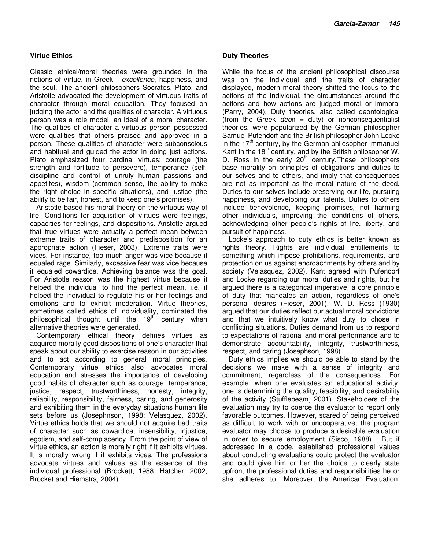#### **Virtue Ethics**

Classic ethical/moral theories were grounded in the notions of virtue, in Greek *excellence*, happiness, and the soul. The ancient philosophers Socrates, Plato, and Aristotle advocated the development of virtuous traits of character through moral education. They focused on judging the actor and the qualities of character. A virtuous person was a role model, an ideal of a moral character. The qualities of character a virtuous person possessed were qualities that others praised and approved in a person. These qualities of character were subconscious and habitual and guided the actor in doing just actions. Plato emphasized four cardinal virtues: courage (the strength and fortitude to persevere), temperance (selfdiscipline and control of unruly human passions and appetites), wisdom (common sense, the ability to make the right choice in specific situations), and justice (the ability to be fair, honest, and to keep one's promises).

Aristotle based his moral theory on the virtuous way of life. Conditions for acquisition of virtues were feelings, capacities for feelings, and dispositions. Aristotle argued that true virtues were actually a perfect mean between extreme traits of character and predisposition for an appropriate action (Fieser, 2003). Extreme traits were vices. For instance, too much anger was vice because it equaled rage. Similarly, excessive fear was vice because it equaled cowardice. Achieving balance was the goal. For Aristotle reason was the highest virtue because it helped the individual to find the perfect mean, i.e. it helped the individual to regulate his or her feelings and emotions and to exhibit moderation. Virtue theories, sometimes called ethics of individuality, dominated the philosophical thought until the 19<sup>th</sup> century when alternative theories were generated.

Contemporary ethical theory defines virtues as acquired morally good dispositions of one's character that speak about our ability to exercise reason in our activities and to act according to general moral principles. Contemporary virtue ethics also advocates moral education and stresses the importance of developing good habits of character such as courage, temperance, justice, respect, trustworthiness, honesty, integrity, reliability, responsibility, fairness, caring, and generosity and exhibiting them in the everyday situations human life sets before us (Josephnson, 1998; Velasquez, 2002). Virtue ethics holds that we should not acquire bad traits of character such as cowardice, insensibility, injustice, egotism, and self-complacency. From the point of view of virtue ethics, an action is morally right if it exhibits virtues. It is morally wrong if it exhibits vices. The professions advocate virtues and values as the essence of the individual professional (Brockett, 1988, Hatcher, 2002, Brocket and Hiemstra, 2004).

#### **Duty Theories**

While the focus of the ancient philosophical discourse was on the individual and the traits of character displayed, modern moral theory shifted the focus to the actions of the individual, the circumstances around the actions and how actions are judged moral or immoral (Parry, 2004). Duty theories, also called deontological (from the Greek *deo*n = duty) or nonconsequentialist theories, were popularized by the German philosopher Samuel Pufendorf and the British philosopher John Locke in the  $17<sup>th</sup>$  century, by the German philosopher Immanuel Kant in the  $18<sup>th</sup>$  century, and by the British philosopher W. D. Ross in the early  $20<sup>th</sup>$  century. These philosophers base morality on principles of obligations and duties to our selves and to others, and imply that consequences are not as important as the moral nature of the deed. Duties to our selves include preserving our life, pursuing happiness, and developing our talents. Duties to others include benevolence, keeping promises, not harming other individuals, improving the conditions of others, acknowledging other people's rights of life, liberty, and pursuit of happiness.

Locke's approach to duty ethics is better known as rights theory. Rights are individual entitlements to something which impose prohibitions, requirements, and protection on us against encroachments by others and by society (Velasquez, 2002). Kant agreed with Pufendorf and Locke regarding our moral duties and rights, but he argued there is a categorical imperative, a core principle of duty that mandates an action, regardless of one's personal desires (Fieser, 2001). W. D. Ross (1930) argued that our duties reflect our actual moral convictions and that we intuitively know what duty to chose in conflicting situations. Duties demand from us to respond to expectations of rational and moral performance and to demonstrate accountability, integrity, trustworthiness, respect, and caring (Josephson, 1998).

Duty ethics implies we should be able to stand by the decisions we make with a sense of integrity and commitment, regardless of the consequences. For example, when one evaluates an educational activity, one is determining the quality, feasibility, and desirability of the activity (Stufflebeam, 2001). Stakeholders of the evaluation may try to coerce the evaluator to report only favorable outcomes. However, scared of being perceived as difficult to work with or uncooperative, the program evaluator may choose to produce a desirable evaluation in order to secure employment (Sisco, 1988). But if addressed in a code, established professional values about conducting evaluations could protect the evaluator and could give him or her the choice to clearly state upfront the professional duties and responsibilities he or she adheres to. Moreover, the American Evaluation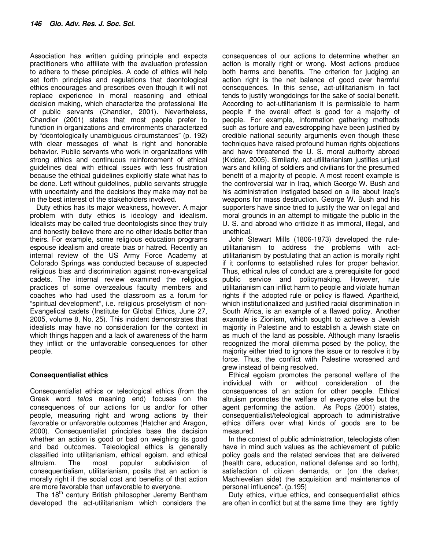Association has written guiding principle and expects practitioners who affiliate with the evaluation profession to adhere to these principles. A code of ethics will help set forth principles and regulations that deontological ethics encourages and prescribes even though it will not replace experience in moral reasoning and ethical decision making, which characterize the professional life of public servants (Chandler, 2001). Nevertheless, Chandler (2001) states that most people prefer to function in organizations and environments characterized by "deontologically unambiguous circumstances" (p. 192) with clear messages of what is right and honorable behavior. Public servants who work in organizations with strong ethics and continuous reinforcement of ethical guidelines deal with ethical issues with less frustration because the ethical guidelines explicitly state what has to be done. Left without guidelines, public servants struggle with uncertainty and the decisions they make may not be in the best interest of the stakeholders involved.

Duty ethics has its major weakness, however. A major problem with duty ethics is ideology and idealism. Idealists may be called true deontologists since they truly and honestly believe there are no other ideals better than theirs. For example, some religious education programs espouse idealism and create bias or hatred. Recently an internal review of the US Army Force Academy at Colorado Springs was conducted because of suspected religious bias and discrimination against non-evangelical cadets. The internal review examined the religious practices of some overzealous faculty members and coaches who had used the classroom as a forum for "spiritual development", i.e. religious proselytism of non-Evangelical cadets (Institute for Global Ethics, June 27, 2005, volume 8, No. 25). This incident demonstrates that idealists may have no consideration for the context in which things happen and a lack of awareness of the harm they inflict or the unfavorable consequences for other people.

#### **Consequentialist ethics**

Consequentialist ethics or teleological ethics (from the Greek word *telos* meaning end) focuses on the consequences of our actions for us and/or for other people, measuring right and wrong actions by their favorable or unfavorable outcomes (Hatcher and Aragon, 2000). Consequentialist principles base the decision whether an action is good or bad on weighing its good and bad outcomes. Teleological ethics is generally classified into utilitarianism, ethical egoism, and ethical altruism. The most popular subdivision of consequentialism, utilitarianism, posits that an action is morally right if the social cost and benefits of that action are more favorable than unfavorable to everyone.

The 18<sup>th</sup> century British philosopher Jeremy Bentham developed the act-utilitarianism which considers the

consequences of our actions to determine whether an action is morally right or wrong. Most actions produce both harms and benefits. The criterion for judging an action right is the net balance of good over harmful consequences. In this sense, act-utilitarianism in fact tends to justify wrongdoings for the sake of social benefit. According to act-utilitarianism it is permissible to harm people if the overall effect is good for a majority of people. For example, information gathering methods such as torture and eavesdropping have been justified by credible national security arguments even though these techniques have raised profound human rights objections and have threatened the U. S. moral authority abroad (Kidder, 2005). Similarly, act-utilitarianism justifies unjust wars and killing of soldiers and civilians for the presumed benefit of a majority of people. A most recent example is the controversial war in Iraq, which George W. Bush and his administration instigated based on a lie about Iraq's weapons for mass destruction. George W. Bush and his supporters have since tried to justify the war on legal and moral grounds in an attempt to mitigate the public in the U. S. and abroad who criticize it as immoral, illegal, and unethical.

John Stewart Mills (1806-1873) developed the ruleutilitarianism to address the problems with actutilitarianism by postulating that an action is morally right if it conforms to established rules for proper behavior. Thus, ethical rules of conduct are a prerequisite for good public service and policymaking. However, rule utilitarianism can inflict harm to people and violate human rights if the adopted rule or policy is flawed. Apartheid, which institutionalized and justified racial discrimination in South Africa, is an example of a flawed policy. Another example is Zionism, which sought to achieve a Jewish majority in Palestine and to establish a Jewish state on as much of the land as possible. Although many Israelis recognized the moral dilemma posed by the policy, the majority either tried to ignore the issue or to resolve it by force. Thus, the conflict with Palestine worsened and grew instead of being resolved.

Ethical egoism promotes the personal welfare of the individual with or without consideration of the consequences of an action for other people. Ethical altruism promotes the welfare of everyone else but the agent performing the action. As Pops (2001) states, consequentialist/teleological approach to administrative ethics differs over what kinds of goods are to be measured.

In the context of public administration, teleologists often have in mind such values as the achievement of public policy goals and the related services that are delivered (health care, education, national defense and so forth), satisfaction of citizen demands, or (on the darker, Machievelian side) the acquisition and maintenance of personal influence". (p.195)

Duty ethics, virtue ethics, and consequentialist ethics are often in conflict but at the same time they are tightly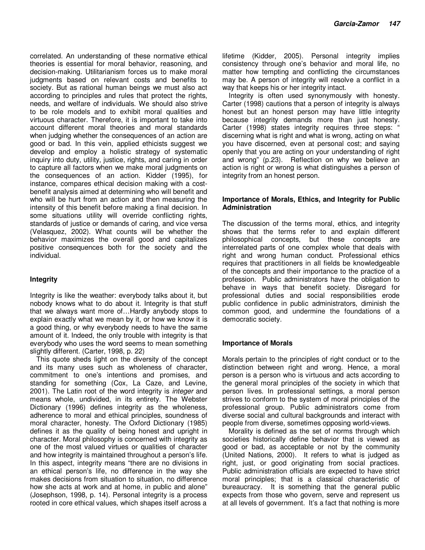correlated. An understanding of these normative ethical theories is essential for moral behavior, reasoning, and decision-making. Utilitarianism forces us to make moral judgments based on relevant costs and benefits to society. But as rational human beings we must also act according to principles and rules that protect the rights, needs, and welfare of individuals. We should also strive to be role models and to exhibit moral qualities and virtuous character. Therefore, it is important to take into account different moral theories and moral standards when judging whether the consequences of an action are good or bad. In this vein, applied ethicists suggest we develop and employ a holistic strategy of systematic inquiry into duty, utility, justice, rights, and caring in order to capture all factors when we make moral judgments on the consequences of an action. Kidder (1995), for instance, compares ethical decision making with a costbenefit analysis aimed at determining who will benefit and who will be hurt from an action and then measuring the intensity of this benefit before making a final decision. In some situations utility will override conflicting rights, standards of justice or demands of caring, and vice versa (Velasquez, 2002). What counts will be whether the behavior maximizes the overall good and capitalizes positive consequences both for the society and the individual.

## **Integrity**

Integrity is like the weather: everybody talks about it, but nobody knows what to do about it. Integrity is that stuff that we always want more of…Hardly anybody stops to explain exactly what we mean by it, or how we know it is a good thing, or why everybody needs to have the same amount of it. Indeed, the only trouble with integrity is that everybody who uses the word seems to mean something slightly different. (Carter, 1998, p. 22)

This quote sheds light on the diversity of the concept and its many uses such as wholeness of character, commitment to one's intentions and promises, and standing for something (Cox, La Caze, and Levine, 2001). The Latin root of the word integrity is *integer* and means whole, undivided, in its entirety. The Webster Dictionary (1996) defines integrity as the wholeness, adherence to moral and ethical principles, soundness of moral character, honesty. The Oxford Dictionary (1985) defines it as the quality of being honest and upright in character. Moral philosophy is concerned with integrity as one of the most valued virtues or qualities of character and how integrity is maintained throughout a person's life. In this aspect, integrity means "there are no divisions in an ethical person's life, no difference in the way she makes decisions from situation to situation, no difference how she acts at work and at home, in public and alone" (Josephson, 1998, p. 14). Personal integrity is a process rooted in core ethical values, which shapes itself across a

lifetime (Kidder, 2005). Personal integrity implies consistency through one's behavior and moral life, no matter how tempting and conflicting the circumstances may be. A person of integrity will resolve a conflict in a way that keeps his or her integrity intact.

Integrity is often used synonymously with honesty. Carter (1998) cautions that a person of integrity is always honest but an honest person may have little integrity because integrity demands more than just honesty. Carter (1998) states integrity requires three steps: discerning what is right and what is wrong, acting on what you have discerned, even at personal cost; and saying openly that you are acting on your understanding of right and wrong" (p.23). Reflection on why we believe an action is right or wrong is what distinguishes a person of integrity from an honest person.

#### **Importance of Morals, Ethics, and Integrity for Public Administration**

The discussion of the terms moral, ethics, and integrity shows that the terms refer to and explain different philosophical concepts, but these concepts are interrelated parts of one complex whole that deals with right and wrong human conduct. Professional ethics requires that practitioners in all fields be knowledgeable of the concepts and their importance to the practice of a profession. Public administrators have the obligation to behave in ways that benefit society. Disregard for professional duties and social responsibilities erode public confidence in public administrators, diminish the common good, and undermine the foundations of a democratic society.

#### **Importance of Morals**

Morals pertain to the principles of right conduct or to the distinction between right and wrong. Hence, a moral person is a person who is virtuous and acts according to the general moral principles of the society in which that person lives. In professional settings, a moral person strives to conform to the system of moral principles of the professional group. Public administrators come from diverse social and cultural backgrounds and interact with people from diverse, sometimes opposing world-views.

Morality is defined as the set of norms through which societies historically define behavior that is viewed as good or bad, as acceptable or not by the community (United Nations, 2000). It refers to what is judged as right, just, or good originating from social practices. Public administration officials are expected to have strict moral principles; that is a classical characteristic of bureaucracy. It is something that the general public expects from those who govern, serve and represent us at all levels of government. It's a fact that nothing is more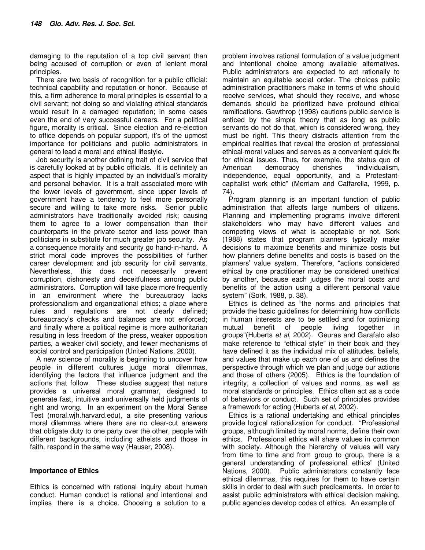damaging to the reputation of a top civil servant than being accused of corruption or even of lenient moral principles.

There are two basis of recognition for a public official: technical capability and reputation or honor. Because of this, a firm adherence to moral principles is essential to a civil servant; not doing so and violating ethical standards would result in a damaged reputation; in some cases even the end of very successful careers. For a political figure, morality is critical. Since election and re-election to office depends on popular support, it's of the upmost importance for politicians and public administrators in general to lead a moral and ethical lifestyle.

Job security is another defining trait of civil service that is carefully looked at by public officials. It is definitely an aspect that is highly impacted by an individual's morality and personal behavior. It is a trait associated more with the lower levels of government, since upper levels of government have a tendency to feel more personally secure and willing to take more risks. Senior public administrators have traditionally avoided risk; causing them to agree to a lower compensation than their counterparts in the private sector and less power than politicians in substitute for much greater job security. As a consequence morality and security go hand-in-hand. A strict moral code improves the possibilities of further career development and job security for civil servants. Nevertheless, this does not necessarily prevent corruption, dishonesty and deceitfulness among public administrators. Corruption will take place more frequently in an environment where the bureaucracy lacks professionalism and organizational ethics; a place where rules and regulations are not clearly defined; bureaucracy's checks and balances are not enforced; and finally where a political regime is more authoritarian resulting in less freedom of the press, weaker opposition parties, a weaker civil society, and fewer mechanisms of social control and participation (United Nations, 2000).

A new science of morality is beginning to uncover how people in different cultures judge moral dilemmas, identifying the factors that influence judgment and the actions that follow. These studies suggest that nature provides a universal moral grammar, designed to generate fast, intuitive and universally held judgments of right and wrong. In an experiment on the Moral Sense Test (moral.wjh.harvard.edu), a site presenting various moral dilemmas where there are no clear-cut answers that obligate duty to one party over the other, people with different backgrounds, including atheists and those in faith, respond in the same way (Hauser, 2008).

## **Importance of Ethics**

Ethics is concerned with rational inquiry about human conduct. Human conduct is rational and intentional and implies there is a choice. Choosing a solution to a

problem involves rational formulation of a value judgment and intentional choice among available alternatives. Public administrators are expected to act rationally to maintain an equitable social order. The choices public administration practitioners make in terms of who should receive services, what should they receive, and whose demands should be prioritized have profound ethical ramifications. Gawthrop (1998) cautions public service is enticed by the simple theory that as long as public servants do not do that, which is considered wrong, they must be right. This theory distracts attention from the empirical realities that reveal the erosion of professional ethical-moral values and serves as a convenient quick fix for ethical issues. Thus, for example, the status quo of American democracy cherishes "individualism. American democracy cherishes "individualism, independence, equal opportunity, and a Protestantcapitalist work ethic" (Merriam and Caffarella, 1999, p. 74).

Program planning is an important function of public administration that affects large numbers of citizens. Planning and implementing programs involve different stakeholders who may have different values and competing views of what is acceptable or not. Sork (1988) states that program planners typically make decisions to maximize benefits and minimize costs but how planners define benefits and costs is based on the planners' value system. Therefore, "actions considered ethical by one practitioner may be considered unethical by another, because each judges the moral costs and benefits of the action using a different personal value system" (Sork, 1988, p. 38).

Ethics is defined as "the norms and principles that provide the basic guidelines for determining how conflicts in human interests are to be settled and for optimizing mutual benefit of people living together in groups"(Huberts *et al*, 2002). Geuras and Garafalo also make reference to "ethical style" in their book and they have defined it as the individual mix of attitudes, beliefs, and values that make up each one of us and defines the perspective through which we plan and judge our actions and those of others (2005). Ethics is the foundation of integrity, a collection of values and norms, as well as moral standards or principles. Ethics often act as a code of behaviors or conduct. Such set of principles provides a framework for acting (Huberts *et al*, 2002).

Ethics is a rational undertaking and ethical principles provide logical rationalization for conduct. "Professional groups, although limited by moral norms, define their own ethics. Professional ethics will share values in common with society. Although the hierarchy of values will vary from time to time and from group to group, there is a general understanding of professional ethics" (United Nations, 2000). Public administrators constantly face ethical dilemmas, this requires for them to have certain skills in order to deal with such predicaments. In order to assist public administrators with ethical decision making, public agencies develop codes of ethics. An example of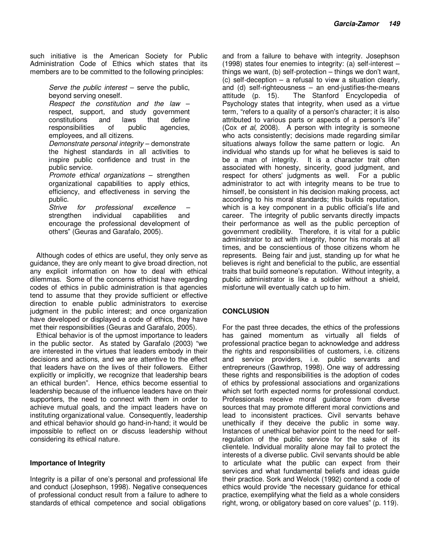such initiative is the American Society for Public Administration Code of Ethics which states that its members are to be committed to the following principles:

> *Serve the public interest* – serve the public, beyond serving oneself.

*Respect the constitution and the law* – respect, support, and study government constitutions and laws that define responsibilities of public agencies, employees, and all citizens. *Demonstrate personal integrity* – demonstrate the highest standards in all activities to inspire public confidence and trust in the public service. *Promote ethical organizations* – strengthen organizational capabilities to apply ethics, efficiency, and effectiveness in serving the

public. *Strive for professional excellence –*  strengthen individual capabilities and encourage the professional development of others" (Geuras and Garafalo, 2005).

Although codes of ethics are useful, they only serve as guidance, they are only meant to give broad direction, not any explicit information on how to deal with ethical dilemmas. Some of the concerns ethicist have regarding codes of ethics in public administration is that agencies tend to assume that they provide sufficient or effective direction to enable public administrators to exercise judgment in the public interest; and once organization have developed or displayed a code of ethics, they have met their responsibilities (Geuras and Garafalo, 2005).

Ethical behavior is of the upmost importance to leaders in the public sector. As stated by Garafalo (2003) "we are interested in the virtues that leaders embody in their decisions and actions, and we are attentive to the effect that leaders have on the lives of their followers. Either explicitly or implicitly, we recognize that leadership bears an ethical burden". Hence, ethics become essential to leadership because of the influence leaders have on their supporters, the need to connect with them in order to achieve mutual goals, and the impact leaders have on instituting organizational value. Consequently, leadership and ethical behavior should go hand-in-hand; it would be impossible to reflect on or discuss leadership without considering its ethical nature.

## **Importance of Integrity**

Integrity is a pillar of one's personal and professional life and conduct (Josephson, 1998). Negative consequences of professional conduct result from a failure to adhere to standards of ethical competence and social obligations

and from a failure to behave with integrity. Josephson (1998) states four enemies to integrity: (a) self-interest – things we want, (b) self-protection – things we don't want, (c) self-deception – a refusal to view a situation clearly, and (d) self-righteousness – an end-justifies-the-means attitude (p. 15). The Stanford Encyclopedia of Psychology states that integrity, when used as a virtue term, "refers to a quality of a person's character; it is also attributed to various parts or aspects of a person's life" (Cox *et al*, 2008). A person with integrity is someone who acts consistently; decisions made regarding similar situations always follow the same pattern or logic. An individual who stands up for what he believes is said to be a man of integrity. It is a character trait often associated with honesty, sincerity, good judgment, and respect for others' judgments as well. For a public administrator to act with integrity means to be true to himself, be consistent in his decision making process, act according to his moral standards; this builds reputation, which is a key component in a public official's life and career. The integrity of public servants directly impacts their performance as well as the public perception of government credibility. Therefore, it is vital for a public administrator to act with integrity, honor his morals at all times, and be conscientious of those citizens whom he represents. Being fair and just, standing up for what he believes is right and beneficial to the public, are essential traits that build someone's reputation. Without integrity, a public administrator is like a soldier without a shield, misfortune will eventually catch up to him.

## **CONCLUSION**

For the past three decades, the ethics of the professions has gained momentum as virtually all fields of professional practice began to acknowledge and address the rights and responsibilities of customers, i.e. citizens and service providers, i.e. public servants and entrepreneurs (Gawthrop, 1998). One way of addressing these rights and responsibilities is the adoption of codes of ethics by professional associations and organizations which set forth expected norms for professional conduct. Professionals receive moral guidance from diverse sources that may promote different moral convictions and lead to inconsistent practices. Civil servants behave unethically if they deceive the public in some way. Instances of unethical behavior point to the need for selfregulation of the public service for the sake of its clientele. Individual morality alone may fail to protect the interests of a diverse public. Civil servants should be able to articulate what the public can expect from their services and what fundamental beliefs and ideas guide their practice. Sork and Welock (1992) contend a code of ethics would provide "the necessary guidance for ethical practice, exemplifying what the field as a whole considers right, wrong, or obligatory based on core values" (p. 119).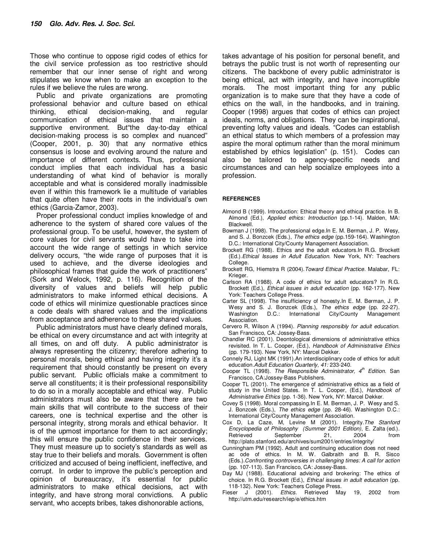Those who continue to oppose rigid codes of ethics for the civil service profession as too restrictive should remember that our inner sense of right and wrong stipulates we know when to make an exception to the rules if we believe the rules are wrong.

Public and private organizations are promoting professional behavior and culture based on ethical thinking, ethical decision-making, and regular communication of ethical issues that maintain a supportive environment. But"the day-to-day ethical decision-making process is so complex and nuanced" (Cooper, 2001, p. 30) that any normative ethics consensus is loose and evolving around the nature and importance of different contexts. Thus, professional conduct implies that each individual has a basic understanding of what kind of behavior is morally acceptable and what is considered morally inadmissible even if within this framework lie a multitude of variables that quite often have their roots in the individual's own ethics (Garcia-Zamor, 2003).

Proper professional conduct implies knowledge of and adherence to the system of shared core values of the professional group. To be useful, however, the system of core values for civil servants would have to take into account the wide range of settings in which service delivery occurs, "the wide range of purposes that it is used to achieve, and the diverse ideologies and philosophical frames that guide the work of practitioners" (Sork and Welock, 1992, p. 116). Recognition of the diversity of values and beliefs will help public administrators to make informed ethical decisions. A code of ethics will minimize questionable practices since a code deals with shared values and the implications from acceptance and adherence to these shared values.

Public administrators must have clearly defined morals, be ethical on every circumstance and act with integrity at all times, on and off duty. A public administrator is always representing the citizenry; therefore adhering to personal morals, being ethical and having integrity it's a requirement that should constantly be present on every public servant. Public officials make a commitment to serve all constituents; it is their professional responsibility to do so in a morally acceptable and ethical way. Public administrators must also be aware that there are two main skills that will contribute to the success of their careers, one is technical expertise and the other is personal integrity, strong morals and ethical behavior. It is of the upmost importance for them to act accordingly; this will ensure the public confidence in their services. They must measure up to society's standards as well as stay true to their beliefs and morals. Government is often criticized and accused of being inefficient, ineffective, and corrupt. In order to improve the public's perception and opinion of bureaucracy, it's essential for public administrators to make ethical decisions, act with integrity, and have strong moral convictions. A public servant, who accepts bribes, takes dishonorable actions,

takes advantage of his position for personal benefit, and betrays the public trust is not worth of representing our citizens. The backbone of every public administrator is being ethical, act with integrity, and have incorruptible morals. The most important thing for any public organization is to make sure that they have a code of ethics on the wall, in the handbooks, and in training. Cooper (1998) argues that codes of ethics can project ideals, norms, and obligations. They can be inspirational, preventing lofty values and ideals. "Codes can establish an ethical status to which members of a profession may aspire the moral optimum rather than the moral minimum established by ethics legislation" (p. 151). Codes can also be tailored to agency-specific needs and circumstances and can help socialize employees into a profession.

#### **REFERENCES**

- Almond B (1999). Introduction: Ethical theory and ethical practice. In B. Almond (Ed.), *Applied ethics: Introduction* (pp.1-14). Malden, MA: Blackwell.
- Bowman J (1998). The professional edge.In E. M. Berman, J. P. Wesy, and S. J. Bonzcek (Eds.), *The ethics edge* (pp.159-164). Washington D.C.: International City/County Management Association.
- Brockett RG (1988). Ethics and the adult educators.In R.G. Brockett (Ed.).*Ethical Issues in Adult Education.* New York, NY: Teachers College.
- Brockett RG, Hiemstra R (2004).*Toward Ethical Practice.* Malabar, FL: Krieger.
- Carlson RA (1988). A code of ethics for adult educators? In R.G. Brockett (Ed.), *Ethical issues in adult education* (pp. 162-177). New York: Teachers College Press.
- Carter SL (1998). The insufficiency of honesty.In E. M. Berman, J. P. Wesy and S. J. Bonzcek (Eds.), *The ethics edge* (pp. 22-27). Washington D.C.: International City/County Management Association.
- Cervero R, Wilson A (1994). *Planning responsibly for adult education*. San Francisco, CA: Jossey-Bass.
- Chandler RC (2001). Deontological dimensions of administrative ethics revisited. In T. L. Cooper, (Ed.), *Handbook of Administrative Ethics* (pp. 179-193). New York, NY: Marcel Dekker.
- Connely RJ, Light MK (1991).An interdisciplinary code of ethics for adult education.*Adult Education Quarterly, 41:* 233-240.
- Cooper TL (1998). *The Responsible Administrator, 4th Edition*. San Francisco, CA:Jossey-Bass Publishers.
- Cooper TL (2001). The emergence of administrative ethics as a field of study in the United States. In T. L. Cooper, (Ed.), *Handbook of Administrative Ethics* (pp. 1-36). New York, NY: Marcel Dekker.
- Covey S (1998). Moral compassing.In E. M. Berman, J. P. Wesy and S. J. Bonzcek (Eds.), *The ethics edge* (pp. 28-46). Washington D.C.: International City/County Management Association.
- Cox D, La Caze, M, Levine M (2001). Integrity.*The Stanford Encyclopedia of Philosophy (Summer 2001 Edition)*, E. Zalta (ed.). Retrieved September 21, 2004 from http://plato.stanford.edu/archives/sum2001/entries/integrity/
- Cunningham PM (1992). Adult and continuing education does not need ac ode of ethics. In M. W. Galbraith and B. R. Sisco (Eds.).*Confronting controversies in challenging times: A call for action*  (pp. 107-113). San Francisco, CA: Jossey-Bass.
- Day MJ (1988). Educational advising and brokering: The ethics of choice. In R.G. Brockett (Ed.), *Ethical issues in adult education* (pp. 118-132). New York: Teachers College Press.
- Fieser J (2001). *Ethics*. Retrieved May 19, 2002 from http://utm.edu/research/iep/e/ethics.htm